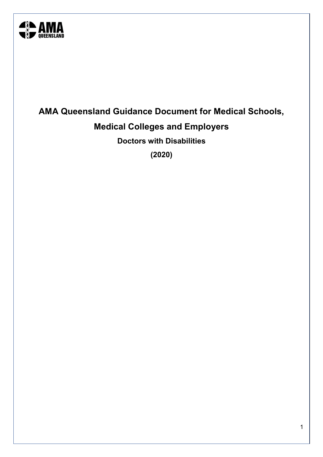

# **AMA Queensland Guidance Document for Medical Schools, Medical Colleges and Employers**

**Doctors with Disabilities**

**(2020)**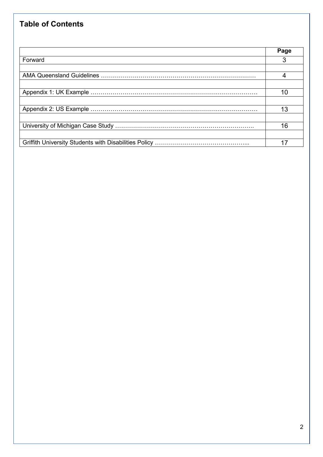# **Table of Contents**

|         | Page |
|---------|------|
| Forward |      |
|         |      |
|         |      |
|         |      |
|         |      |
|         |      |
|         | 13   |
|         |      |
|         | 16   |
|         |      |
|         |      |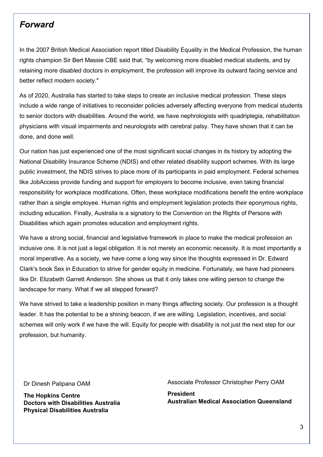# *Forward*

In the 2007 British Medical Association report titled Disability Equality in the Medical Profession, the human rights champion Sir Bert Massie CBE said that, "by welcoming more disabled medical students, and by retaining more disabled doctors in employment, the profession will improve its outward facing service and better reflect modern society."

As of 2020, Australia has started to take steps to create an inclusive medical profession. These steps include a wide range of initiatives to reconsider policies adversely affecting everyone from medical students to senior doctors with disabilities. Around the world, we have nephrologists with quadriplegia, rehabilitation physicians with visual impairments and neurologists with cerebral palsy. They have shown that it can be done, and done well.

Our nation has just experienced one of the most significant social changes in its history by adopting the National Disability Insurance Scheme (NDIS) and other related disability support schemes. With its large public investment, the NDIS strives to place more of its participants in paid employment. Federal schemes like JobAccess provide funding and support for employers to become inclusive, even taking financial responsibility for workplace modifications. Often, these workplace modifications benefit the entire workplace rather than a single employee. Human rights and employment legislation protects their eponymous rights, including education. Finally, Australia is a signatory to the Convention on the Rights of Persons with Disabilities which again promotes education and employment rights.

We have a strong social, financial and legislative framework in place to make the medical profession an inclusive one. It is not just a legal obligation. It is not merely an economic necessity. It is most importantly a moral imperative. As a society, we have come a long way since the thoughts expressed in Dr. Edward Clark's book Sex in Education to strive for gender equity in medicine. Fortunately, we have had pioneers like Dr. Elizabeth Garrett Anderson. She shows us that it only takes one willing person to change the landscape for many. What if we all stepped forward?

We have strived to take a leadership position in many things affecting society. Our profession is a thought leader. It has the potential to be a shining beacon, if we are willing. Legislation, incentives, and social schemes will only work if we have the will. Equity for people with disability is not just the next step for our profession, but humanity.

Dr Dinesh Palipana OAM

**The Hopkins Centre Doctors with Disabilities Australia Physical Disabilities Australia** 

Associate Professor Christopher Perry OAM

**President Australian Medical Association Queensland**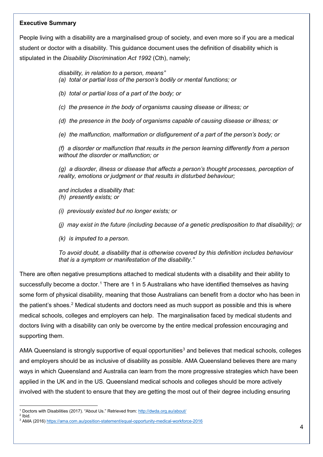#### **Executive Summary**

People living with a disability are a marginalised group of society, and even more so if you are a medical student or doctor with a disability. This guidance document uses the definition of disability which is stipulated in the *Disability Discrimination Act 1992* (Cth), namely;

*disability, in relation to a person, means"*

- *(a) total or partial loss of the person's bodily or mental functions; or*
- *(b) total or partial loss of a part of the body; or*
- *(c) the presence in the body of organisms causing disease or illness; or*

*(d) the presence in the body of organisms capable of causing disease or illness; or*

*(e) the malfunction, malformation or disfigurement of a part of the person's body; or*

*(f) a disorder or malfunction that results in the person learning differently from a person without the disorder or malfunction; or*

*(g) a disorder, illness or disease that affects a person's thought processes, perception of reality, emotions or judgment or that results in disturbed behaviour;*

*and includes a disability that: (h) presently exists; or* 

*(i) previously existed but no longer exists; or*

*(j) may exist in the future (including because of a genetic predisposition to that disability); or*

*(k) is imputed to a person.*

*To avoid doubt, a disability that is otherwise covered by this definition includes behaviour that is a symptom or manifestation of the disability."*

There are often negative presumptions attached to medical students with a disability and their ability to successfully become a doctor.<sup>[1](#page-3-0)</sup> There are 1 in 5 Australians who have identified themselves as having some form of physical disability, meaning that those Australians can benefit from a doctor who has been in the patient's shoes.<sup>[2](#page-3-1)</sup> Medical students and doctors need as much support as possible and this is where medical schools, colleges and employers can help. The marginalisation faced by medical students and doctors living with a disability can only be overcome by the entire medical profession encouraging and supporting them.

AMA Queensland is strongly supportive of equal opportunities<sup>[3](#page-3-2)</sup> and believes that medical schools, colleges and employers should be as inclusive of disability as possible. AMA Queensland believes there are many ways in which Queensland and Australia can learn from the more progressive strategies which have been applied in the UK and in the US. Queensland medical schools and colleges should be more actively involved with the student to ensure that they are getting the most out of their degree including ensuring

 $\overline{\phantom{a}}$ <sup>1</sup> Doctors with Disabilities (2017). "About Us." Retrieved from:<http://dwda.org.au/about/>

<span id="page-3-1"></span><span id="page-3-0"></span><sup>2</sup> Ibid.

<span id="page-3-2"></span><sup>&</sup>lt;sup>3</sup> AMA (2016)<https://ama.com.au/position-statement/equal-opportunity-medical-workforce-2016>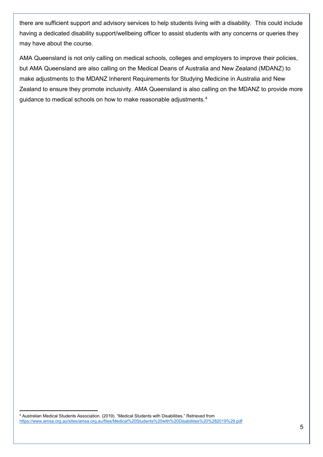there are sufficient support and advisory services to help students living with a disability. This could include having a dedicated disability support/wellbeing officer to assist students with any concerns or queries they may have about the course.

AMA Queensland is not only calling on medical schools, colleges and employers to improve their policies, but AMA Queensland are also calling on the Medical Deans of Australia and New Zealand (MDANZ) to make adjustments to the MDANZ Inherent Requirements for Studying Medicine in Australia and New Zealand to ensure they promote inclusivity. AMA Queensland is also calling on the MDANZ to provide more guidance to medical schools on how to make reasonable adjustments.[4](#page-4-0)

<span id="page-4-0"></span>**<sup>.</sup>** <sup>4</sup> Australian Medical Students Association. (2019). "Medical Students with Disabilities." Retrieved from <https://www.amsa.org.au/sites/amsa.org.au/files/Medical%20Students%20with%20Disabilities%20%282019%29.pdf>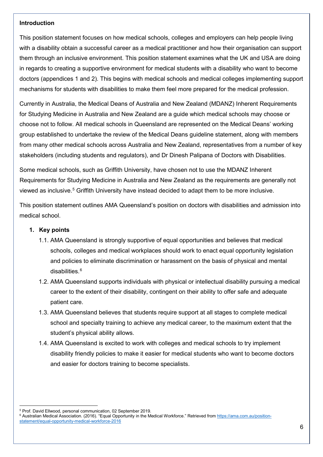#### **Introduction**

This position statement focuses on how medical schools, colleges and employers can help people living with a disability obtain a successful career as a medical practitioner and how their organisation can support them through an inclusive environment. This position statement examines what the UK and USA are doing in regards to creating a supportive environment for medical students with a disability who want to become doctors (appendices 1 and 2). This begins with medical schools and medical colleges implementing support mechanisms for students with disabilities to make them feel more prepared for the medical profession.

Currently in Australia, the Medical Deans of Australia and New Zealand (MDANZ) Inherent Requirements for Studying Medicine in Australia and New Zealand are a guide which medical schools may choose or choose not to follow. All medical schools in Queensland are represented on the Medical Deans' working group established to undertake the review of the Medical Deans guideline statement, along with members from many other medical schools across Australia and New Zealand, representatives from a number of key stakeholders (including students and regulators), and Dr Dinesh Palipana of Doctors with Disabilities.

Some medical schools, such as Griffith University, have chosen not to use the MDANZ Inherent Requirements for Studying Medicine in Australia and New Zealand as the requirements are generally not viewed as inclusive.[5](#page-5-0) Griffith University have instead decided to adapt them to be more inclusive.

This position statement outlines AMA Queensland's position on doctors with disabilities and admission into medical school.

### **1. Key points**

- 1.1. AMA Queensland is strongly supportive of equal opportunities and believes that medical schools, colleges and medical workplaces should work to enact equal opportunity legislation and policies to eliminate discrimination or harassment on the basis of physical and mental disabilities $6$
- 1.2. AMA Queensland supports individuals with physical or intellectual disability pursuing a medical career to the extent of their disability, contingent on their ability to offer safe and adequate patient care.
- 1.3. AMA Queensland believes that students require support at all stages to complete medical school and specialty training to achieve any medical career, to the maximum extent that the student's physical ability allows.
- 1.4. AMA Queensland is excited to work with colleges and medical schools to try implement disability friendly policies to make it easier for medical students who want to become doctors and easier for doctors training to become specialists.

 $\overline{\phantom{a}}$ <sup>5</sup> Prof. David Ellwood, personal communication, 02 September 2019.

<span id="page-5-1"></span><span id="page-5-0"></span><sup>6</sup> Australian Medical Association. (2016). "Equal Opportunity in the Medical Workforce." Retrieved from [https://ama.com.au/position](https://ama.com.au/position-statement/equal-opportunity-medical-workforce-2016)[statement/equal-opportunity-medical-workforce-2016](https://ama.com.au/position-statement/equal-opportunity-medical-workforce-2016)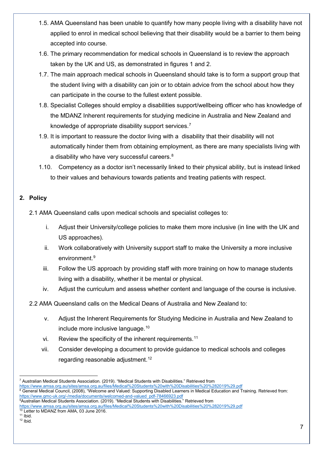- 1.5. AMA Queensland has been unable to quantify how many people living with a disability have not applied to enrol in medical school believing that their disability would be a barrier to them being accepted into course.
- 1.6. The primary recommendation for medical schools in Queensland is to review the approach taken by the UK and US, as demonstrated in figures 1 and 2.
- 1.7. The main approach medical schools in Queensland should take is to form a support group that the student living with a disability can join or to obtain advice from the school about how they can participate in the course to the fullest extent possible.
- 1.8. Specialist Colleges should employ a disabilities support/wellbeing officer who has knowledge of the MDANZ Inherent requirements for studying medicine in Australia and New Zealand and knowledge of appropriate disability support services.<sup>[7](#page-6-0)</sup>
- 1.9. It is important to reassure the doctor living with a disability that their disability will not automatically hinder them from obtaining employment, as there are many specialists living with a disability who have very successful careers. $^8$  $^8$
- 1.10. Competency as a doctor isn't necessarily linked to their physical ability, but is instead linked to their values and behaviours towards patients and treating patients with respect.

# **2. Policy**

2.1 AMA Queensland calls upon medical schools and specialist colleges to:

- i. Adjust their University/college policies to make them more inclusive (in line with the UK and US approaches).
- ii. Work collaboratively with University support staff to make the University a more inclusive environment. [9](#page-6-2)
- iii. Follow the US approach by providing staff with more training on how to manage students living with a disability, whether it be mental or physical.
- iv. Adjust the curriculum and assess whether content and language of the course is inclusive.

2.2 AMA Queensland calls on the Medical Deans of Australia and New Zealand to:

- v. Adjust the Inherent Requirements for Studying Medicine in Australia and New Zealand to include more inclusive language. [10](#page-6-3)
- vi. Review the specificity of the inherent requirements.<sup>[11](#page-6-4)</sup>
- vii. Consider developing a document to provide guidance to medical schools and colleges regarding reasonable adjustment.[12](#page-6-5)

<span id="page-6-0"></span> $\overline{\phantom{a}}$ <sup>7</sup> Australian Medical Students Association. (2019). "Medical Students with Disabilities." Retrieved from

<https://www.amsa.org.au/sites/amsa.org.au/files/Medical%20Students%20with%20Disabilities%20%282019%29.pdf>

<span id="page-6-1"></span> $8$  General Medical Council, (2008), "Welcome and Valued: Supporting Disabled Learners in Medical Education and Training. Retrieved from: [https://www.gmc-uk.org/-/media/documents/welcomed-and-valued\\_pdf-78466923.pdf](https://www.gmc-uk.org/-/media/documents/welcomed-and-valued_pdf-78466923.pdf)

<span id="page-6-2"></span><sup>9</sup> Australian Medical Students Association. (2019). "Medical Students with Disabilities." Retrieved from

<https://www.amsa.org.au/sites/amsa.org.au/files/Medical%20Students%20with%20Disabilities%20%282019%29.pdf>

<sup>10</sup> Letter to MDANZ from AMA, 03 June 2016.

<span id="page-6-5"></span><span id="page-6-4"></span><span id="page-6-3"></span> $11$  Ibid.  $12$  Ibid.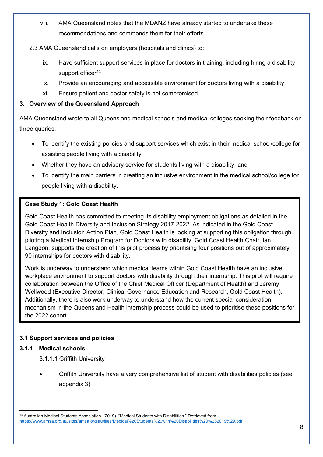viii. AMA Queensland notes that the MDANZ have already started to undertake these recommendations and commends them for their efforts.

# 2.3 AMA Queensland calls on employers (hospitals and clinics) to:

- ix. Have sufficient support services in place for doctors in training, including hiring a disability support officer $13$
- x. Provide an encouraging and accessible environment for doctors living with a disability
- xi. Ensure patient and doctor safety is not compromised.

# **3. Overview of the Queensland Approach**

AMA Queensland wrote to all Queensland medical schools and medical colleges seeking their feedback on three queries:

- To identify the existing policies and support services which exist in their medical school/college for assisting people living with a disability;
- Whether they have an advisory service for students living with a disability; and
- To identify the main barriers in creating an inclusive environment in the medical school/college for people living with a disability.

# **Case Study 1: Gold Coast Health**

Gold Coast Health has committed to meeting its disability employment obligations as detailed in the Gold Coast Health Diversity and Inclusion Strategy 2017-2022. As indicated in the Gold Coast Diversity and Inclusion Action Plan, Gold Coast Health is looking at supporting this obligation through piloting a Medical Internship Program for Doctors with disability. Gold Coast Health Chair, Ian Langdon, supports the creation of this pilot process by prioritising four positions out of approximately 90 internships for doctors with disability.

Work is underway to understand which medical teams within Gold Coast Health have an inclusive workplace environment to support doctors with disability through their internship. This pilot will require collaboration between the Office of the Chief Medical Officer (Department of Health) and Jeremy Wellwood (Executive Director, Clinical Governance Education and Research, Gold Coast Health). Additionally, there is also work underway to understand how the current special consideration mechanism in the Queensland Health internship process could be used to prioritise these positions for the 2022 cohort.

# **3.1 Support services and policies**

# **3.1.1 Medical schools**

- 3.1.1.1 Griffith University
- Griffith University have a very comprehensive list of student with disabilities policies (see appendix 3).

<span id="page-7-0"></span>**<sup>.</sup>** <sup>13</sup> Australian Medical Students Association. (2019). "Medical Students with Disabilities." Retrieved from <https://www.amsa.org.au/sites/amsa.org.au/files/Medical%20Students%20with%20Disabilities%20%282019%29.pdf>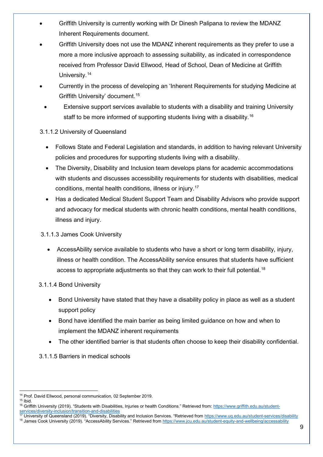- Griffith University is currently working with Dr Dinesh Palipana to review the MDANZ Inherent Requirements document.
- Griffith University does not use the MDANZ inherent requirements as they prefer to use a more a more inclusive approach to assessing suitability, as indicated in correspondence received from Professor David Ellwood, Head of School, Dean of Medicine at Griffith University.<sup>[14](#page-8-0)</sup>
- Currently in the process of developing an 'Inherent Requirements for studying Medicine at Griffith University' document.[15](#page-8-1)
- Extensive support services available to students with a disability and training University staff to be more informed of supporting students living with a disability. [16](#page-8-2)

# 3.1.1.2 University of Queensland

- Follows State and Federal Legislation and standards, in addition to having relevant University policies and procedures for supporting students living with a disability.
- The Diversity, Disability and Inclusion team develops plans for academic accommodations with students and discusses accessibility requirements for students with disabilities, medical conditions, mental health conditions, illness or injury. [17](#page-8-3)
- Has a dedicated Medical Student Support Team and Disability Advisors who provide support and advocacy for medical students with chronic health conditions, mental health conditions, illness and injury.

# 3.1.1.3 James Cook University

• AccessAbility service available to students who have a short or long term disability, injury, illness or health condition. The AccessAbility service ensures that students have sufficient access to appropriate adjustments so that they can work to their full potential.<sup>[18](#page-8-4)</sup>

# 3.1.1.4 Bond University

- Bond University have stated that they have a disability policy in place as well as a student support policy
- Bond have identified the main barrier as being limited guidance on how and when to implement the MDANZ inherent requirements
- The other identified barrier is that students often choose to keep their disability confidential.

# 3.1.1.5 Barriers in medical schools

<span id="page-8-0"></span>**<sup>.</sup>** <sup>14</sup> Prof. David Ellwood, personal communication, 02 September 2019.  $15$  Ibid.

<span id="page-8-2"></span><span id="page-8-1"></span><sup>&</sup>lt;sup>16</sup> Griffith University (2019). "Students with Disabilities, Injuries or health Conditions." Retrieved from[: https://www.griffith.edu.au/student](https://www.griffith.edu.au/student-services/diversity-inclusion/transition-and-disabilities)[services/diversity-inclusion/transition-and-disabilities](https://www.griffith.edu.au/student-services/diversity-inclusion/transition-and-disabilities)

<span id="page-8-4"></span><span id="page-8-3"></span><sup>&</sup>lt;sup>17</sup> University of Queensland (2019). "Diversity, Disability and Inclusion Services. "Retrieved from<https://www.uq.edu.au/student-services/disability> <sup>18</sup> James Cook University (2019). "AccessAbility Services." Retrieved from<https://www.jcu.edu.au/student-equity-and-wellbeing/accessability>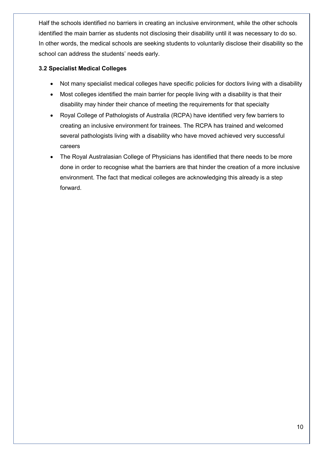Half the schools identified no barriers in creating an inclusive environment, while the other schools identified the main barrier as students not disclosing their disability until it was necessary to do so. In other words, the medical schools are seeking students to voluntarily disclose their disability so the school can address the students' needs early.

# **3.2 Specialist Medical Colleges**

- Not many specialist medical colleges have specific policies for doctors living with a disability
- Most colleges identified the main barrier for people living with a disability is that their disability may hinder their chance of meeting the requirements for that specialty
- Royal College of Pathologists of Australia (RCPA) have identified very few barriers to creating an inclusive environment for trainees. The RCPA has trained and welcomed several pathologists living with a disability who have moved achieved very successful careers
- The Royal Australasian College of Physicians has identified that there needs to be more done in order to recognise what the barriers are that hinder the creation of a more inclusive environment. The fact that medical colleges are acknowledging this already is a step forward.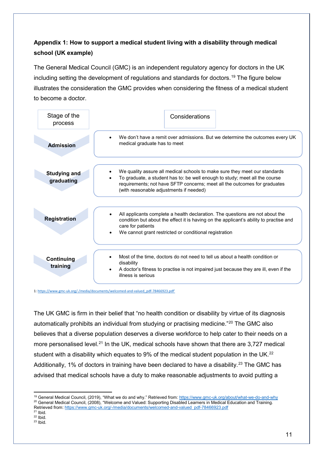# **Appendix 1: How to support a medical student living with a disability through medical school (UK example)**

The General Medical Council (GMC) is an independent regulatory agency for doctors in the UK including setting the development of regulations and standards for doctors.<sup>[19](#page-10-0)</sup> The figure below illustrates the consideration the GMC provides when considering the fitness of a medical student to become a doctor.

| Stage of the<br>process           | Considerations                                                                                                                                                                                                                                                                    |
|-----------------------------------|-----------------------------------------------------------------------------------------------------------------------------------------------------------------------------------------------------------------------------------------------------------------------------------|
| <b>Admission</b>                  | We don't have a remit over admissions. But we determine the outcomes every UK<br>medical graduate has to meet                                                                                                                                                                     |
| <b>Studying and</b><br>graduating | We quality assure all medical schools to make sure they meet our standards<br>To graduate, a student has to: be well enough to study; meet all the course<br>requirements; not have SFTP concerns; meet all the outcomes for graduates<br>(with reasonable adjustments if needed) |
| <b>Registration</b>               | All applicants complete a health declaration. The questions are not about the<br>condition but about the effect it is having on the applicant's ability to practise and<br>care for patients<br>We cannot grant restricted or conditional registration                            |
| Continuing<br>training            | Most of the time, doctors do not need to tell us about a health condition or<br>disability<br>A doctor's fitness to practise is not impaired just because they are ill, even if the<br>illness is serious                                                                         |

1[: https://www.gmc-uk.org/-/media/documents/welcomed-and-valued\\_pdf-78466923.pdf'](https://www.gmc-uk.org/-/media/documents/welcomed-and-valued_pdf-78466923.pdf)

The UK GMC is firm in their belief that "no health condition or disability by virtue of its diagnosis automatically prohibits an individual from studying or practising medicine."<sup>[20](#page-10-1)</sup> The GMC also believes that a diverse population deserves a diverse workforce to help cater to their needs on a more personalised level.<sup>[21](#page-10-2)</sup> In the UK, medical schools have shown that there are 3,727 medical student with a disability which equates to 9% of the medical student population in the UK.<sup>[22](#page-10-3)</sup> Additionally, 1% of doctors in training have been declared to have a disability.<sup>[23](#page-10-4)</sup> The GMC has advised that medical schools have a duty to make reasonable adjustments to avoid putting a

 $\overline{\phantom{a}}$ 

<span id="page-10-1"></span><span id="page-10-0"></span><sup>&</sup>lt;sup>19</sup> General Medical Council, (2019), "What we do and why." Retrieved from[: https://www.gmc-uk.org/about/what-we-do-and-why](https://www.gmc-uk.org/about/what-we-do-and-why) <sup>20</sup> General Medical Council, (2008), "Welcome and Valued: Supporting Disabled Learners in Medical Education and Training. Retrieved from[: https://www.gmc-uk.org/-/media/documents/welcomed-and-valued\\_pdf-78466923.pdf](https://www.gmc-uk.org/-/media/documents/welcomed-and-valued_pdf-78466923.pdf)<br><sup>21</sup> Ibid.

<span id="page-10-2"></span>

<span id="page-10-4"></span><span id="page-10-3"></span> $^{22}$  Ibid.<br> $^{23}$  Ibid.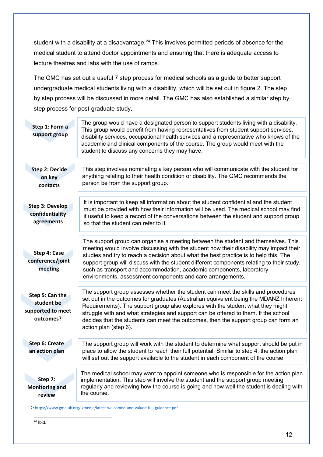student with a disability at a disadvantage.<sup>[24](#page-11-0)</sup> This involves permitted periods of absence for the medical student to attend doctor appointments and ensuring that there is adequate access to lecture theatres and labs with the use of ramps.

The GMC has set out a useful 7 step process for medical schools as a guide to better support undergraduate medical students living with a disability, which will be set out in figure 2. The step by step process will be discussed in more detail. The GMC has also established a similar step by step process for post-graduate study.

| Step 1: Form a<br>support group                                 | The group would have a designated person to support students living with a disability.<br>This group would benefit from having representatives from student support services,<br>disability services, occupational health services and a representative who knows of the<br>academic and clinical components of the course. The group would meet with the<br>student to discuss any concerns they may have.                                                                                              |
|-----------------------------------------------------------------|----------------------------------------------------------------------------------------------------------------------------------------------------------------------------------------------------------------------------------------------------------------------------------------------------------------------------------------------------------------------------------------------------------------------------------------------------------------------------------------------------------|
| <b>Step 2: Decide</b><br>on key<br>contacts                     | This step involves nominating a key person who will communicate with the student for<br>anything relating to their health condition or disability. The GMC recommends the<br>person be from the support group.                                                                                                                                                                                                                                                                                           |
| <b>Step 3: Develop</b><br>confidentiality<br>agreements         | It is important to keep all information about the student confidential and the student<br>must be provided with how their information will be used. The medical school may find<br>it useful to keep a record of the conversations between the student and support group<br>so that the student can refer to it.                                                                                                                                                                                         |
| Step 4: Case<br>conference/joint<br>meeting                     | The support group can organise a meeting between the student and themselves. This<br>meeting would involve discussing with the student how their disability may impact their<br>studies and try to reach a decision about what the best practice is to help this. The<br>support group will discuss with the student different components relating to their study,<br>such as transport and accommodation, academic components, laboratory<br>environments, assessment components and care arrangements. |
| Step 5: Can the<br>student be<br>supported to meet<br>outcomes? | The support group assesses whether the student can meet the skills and procedures<br>set out in the outcomes for graduates (Australian equivalent being the MDANZ Inherent<br>Requirements). The support group also explores with the student what they might<br>struggle with and what strategies and support can be offered to them. If the school<br>decides that the students can meet the outcomes, then the support group can form an<br>action plan (step 6).                                     |
| <b>Step 6: Create</b><br>an action plan                         | The support group will work with the student to determine what support should be put in<br>place to allow the student to reach their full potential. Similar to step 4, the action plan<br>will set out the support available to the student in each component of the course.                                                                                                                                                                                                                            |
| Step 7:<br><b>Monitoring and</b><br>review                      | The medical school may want to appoint someone who is responsible for the action plan<br>implementation. This step will involve the student and the support group meeting<br>regularly and reviewing how the course is going and how well the student is dealing with<br>the course.                                                                                                                                                                                                                     |

<span id="page-11-0"></span>2[: https://www.gmc-uk.org/-/media/latest-welcomed-and-valued-full-guidance.pdf](https://www.gmc-uk.org/-/media/latest-welcomed-and-valued-full-guidance.pdf)

l  $^{24}$  Ibid.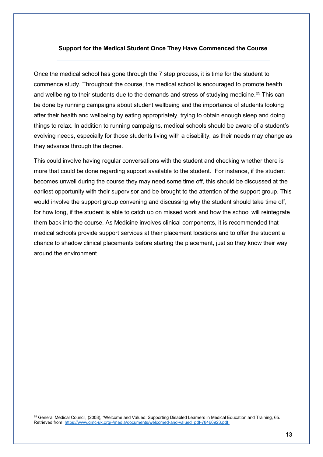#### **Support for the Medical Student Once They Have Commenced the Course**

Once the medical school has gone through the 7 step process, it is time for the student to commence study. Throughout the course, the medical school is encouraged to promote health and wellbeing to their students due to the demands and stress of studying medicine.<sup>[25](#page-12-0)</sup> This can be done by running campaigns about student wellbeing and the importance of students looking after their health and wellbeing by eating appropriately, trying to obtain enough sleep and doing things to relax. In addition to running campaigns, medical schools should be aware of a student's evolving needs, especially for those students living with a disability, as their needs may change as they advance through the degree.

This could involve having regular conversations with the student and checking whether there is more that could be done regarding support available to the student. For instance, if the student becomes unwell during the course they may need some time off, this should be discussed at the earliest opportunity with their supervisor and be brought to the attention of the support group. This would involve the support group convening and discussing why the student should take time off, for how long, if the student is able to catch up on missed work and how the school will reintegrate them back into the course. As Medicine involves clinical components, it is recommended that medical schools provide support services at their placement locations and to offer the student a chance to shadow clinical placements before starting the placement, just so they know their way around the environment.

 $\overline{\phantom{a}}$ 

<span id="page-12-0"></span><sup>25</sup> General Medical Council, (2008), "Welcome and Valued: Supporting Disabled Learners in Medical Education and Training, 65. Retrieved from[: https://www.gmc-uk.org/-/media/documents/welcomed-and-valued\\_pdf-78466923.pdf,](https://www.gmc-uk.org/-/media/documents/welcomed-and-valued_pdf-78466923.pdf)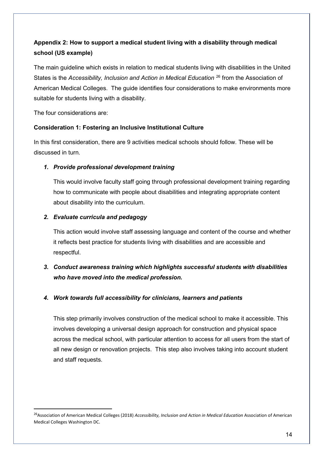# **Appendix 2: How to support a medical student living with a disability through medical school (US example)**

The main guideline which exists in relation to medical students living with disabilities in the United States is the *Accessibility, Inclusion and Action in Medical Education* [26](#page-13-0) from the Association of American Medical Colleges. The guide identifies four considerations to make environments more suitable for students living with a disability.

The four considerations are:

# **Consideration 1: Fostering an Inclusive Institutional Culture**

In this first consideration, there are 9 activities medical schools should follow. These will be discussed in turn.

# *1. Provide professional development training*

This would involve faculty staff going through professional development training regarding how to communicate with people about disabilities and integrating appropriate content about disability into the curriculum.

# *2. Evaluate curricula and pedagogy*

This action would involve staff assessing language and content of the course and whether it reflects best practice for students living with disabilities and are accessible and respectful.

# *3. Conduct awareness training which highlights successful students with disabilities who have moved into the medical profession.*

# *4. Work towards full accessibility for clinicians, learners and patients*

This step primarily involves construction of the medical school to make it accessible. This involves developing a universal design approach for construction and physical space across the medical school, with particular attention to access for all users from the start of all new design or renovation projects. This step also involves taking into account student and staff requests.

<span id="page-13-0"></span> <sup>26</sup>Association of American Medical Colleges (2018) *Accessibility, Inclusion and Action in Medical Education* Association of American Medical Colleges Washington DC.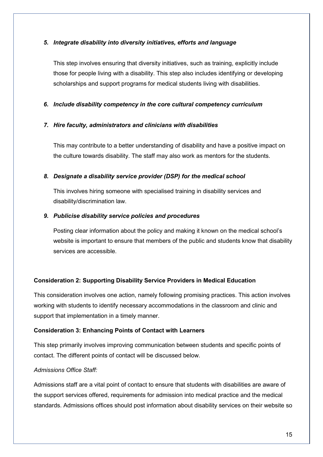#### *5. Integrate disability into diversity initiatives, efforts and language*

This step involves ensuring that diversity initiatives, such as training, explicitly include those for people living with a disability. This step also includes identifying or developing scholarships and support programs for medical students living with disabilities.

# *6. Include disability competency in the core cultural competency curriculum*

#### *7. Hire faculty, administrators and clinicians with disabilities*

This may contribute to a better understanding of disability and have a positive impact on the culture towards disability. The staff may also work as mentors for the students.

# *8. Designate a disability service provider (DSP) for the medical school*

This involves hiring someone with specialised training in disability services and disability/discrimination law.

#### *9. Publicise disability service policies and procedures*

Posting clear information about the policy and making it known on the medical school's website is important to ensure that members of the public and students know that disability services are accessible.

# **Consideration 2: Supporting Disability Service Providers in Medical Education**

This consideration involves one action, namely following promising practices. This action involves working with students to identify necessary accommodations in the classroom and clinic and support that implementation in a timely manner.

# **Consideration 3: Enhancing Points of Contact with Learners**

This step primarily involves improving communication between students and specific points of contact. The different points of contact will be discussed below.

# *Admissions Office Staff:*

Admissions staff are a vital point of contact to ensure that students with disabilities are aware of the support services offered, requirements for admission into medical practice and the medical standards. Admissions offices should post information about disability services on their website so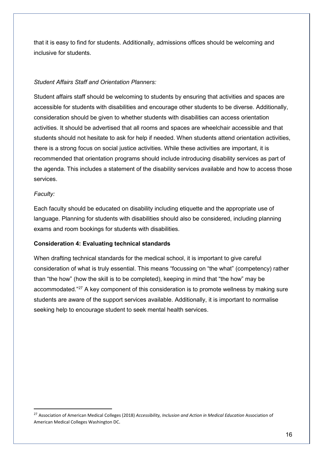that it is easy to find for students. Additionally, admissions offices should be welcoming and inclusive for students.

#### *Student Affairs Staff and Orientation Planners:*

Student affairs staff should be welcoming to students by ensuring that activities and spaces are accessible for students with disabilities and encourage other students to be diverse. Additionally, consideration should be given to whether students with disabilities can access orientation activities. It should be advertised that all rooms and spaces are wheelchair accessible and that students should not hesitate to ask for help if needed. When students attend orientation activities, there is a strong focus on social justice activities. While these activities are important, it is recommended that orientation programs should include introducing disability services as part of the agenda. This includes a statement of the disability services available and how to access those services.

#### *Faculty:*

Each faculty should be educated on disability including etiquette and the appropriate use of language. Planning for students with disabilities should also be considered, including planning exams and room bookings for students with disabilities.

#### **Consideration 4: Evaluating technical standards**

When drafting technical standards for the medical school, it is important to give careful consideration of what is truly essential. This means "focussing on "the what" (competency) rather than "the how" (how the skill is to be completed), keeping in mind that "the how" may be accommodated."<sup>[27](#page-15-0)</sup> A key component of this consideration is to promote wellness by making sure students are aware of the support services available. Additionally, it is important to normalise seeking help to encourage student to seek mental health services.

<span id="page-15-0"></span> <sup>27</sup> Association of American Medical Colleges (2018) *Accessibility, Inclusion and Action in Medical Education* Association of American Medical Colleges Washington DC.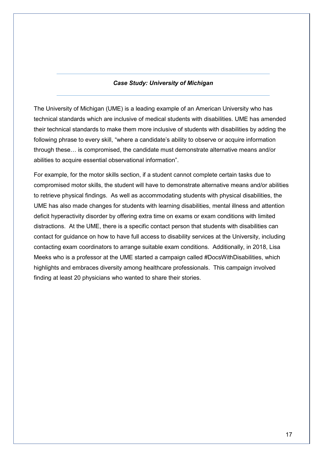#### *Case Study: University of Michigan*

The University of Michigan (UME) is a leading example of an American University who has technical standards which are inclusive of medical students with disabilities. UME has amended their technical standards to make them more inclusive of students with disabilities by adding the following phrase to every skill, "where a candidate's ability to observe or acquire information through these… is compromised, the candidate must demonstrate alternative means and/or abilities to acquire essential observational information".

For example, for the motor skills section, if a student cannot complete certain tasks due to compromised motor skills, the student will have to demonstrate alternative means and/or abilities to retrieve physical findings. As well as accommodating students with physical disabilities, the UME has also made changes for students with learning disabilities, mental illness and attention deficit hyperactivity disorder by offering extra time on exams or exam conditions with limited distractions. At the UME, there is a specific contact person that students with disabilities can contact for guidance on how to have full access to disability services at the University, including contacting exam coordinators to arrange suitable exam conditions. Additionally, in 2018, Lisa Meeks who is a professor at the UME started a campaign called #DocsWithDisabilities, which highlights and embraces diversity among healthcare professionals. This campaign involved finding at least 20 physicians who wanted to share their stories.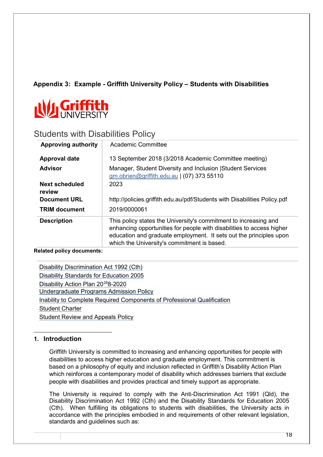# **Appendix 3: Example - Griffith University Policy – Students with Disabilities**



# Students with Disabilities Policy

| <b>Approving authority</b>      | Academic Committee                                                                                                                                                                                                                                             |
|---------------------------------|----------------------------------------------------------------------------------------------------------------------------------------------------------------------------------------------------------------------------------------------------------------|
| <b>Approval date</b>            | 13 September 2018 (3/2018 Academic Committee meeting)                                                                                                                                                                                                          |
| <b>Advisor</b>                  | Manager, Student Diversity and Inclusion Student Services<br>gm.obrien@griffith.edu.au   (07) 373 55110                                                                                                                                                        |
| <b>Next scheduled</b><br>review | 2023                                                                                                                                                                                                                                                           |
| <b>Document URL</b>             | http://policies.griffith.edu.au/pdf/Students with Disabilities Policy.pdf                                                                                                                                                                                      |
| <b>TRIM document</b>            | 2019/0000061                                                                                                                                                                                                                                                   |
| <b>Description</b>              | This policy states the University's commitment to increasing and<br>enhancing opportunities for people with disabilities to access higher<br>education and graduate employment. It sets out the principles upon<br>which the University's commitment is based. |

#### **Related policy documents:**

| Disability Discrimination Act 1992 (Cth)                                |
|-------------------------------------------------------------------------|
| Disability Standards for Education 2005                                 |
| Disability Action Plan 20 <sup>28</sup> 8-2020                          |
| Undergraduate Programs Admission Policy                                 |
| Inability to Complete Required Components of Professional Qualification |
| <b>Student Charter</b>                                                  |
| <b>Student Review and Appeals Policy</b>                                |

#### <span id="page-17-0"></span> $\overline{a}$ **1. Introduction**

Griffith University is committed to increasing and enhancing opportunities for people with disabilities to access higher education and graduate employment. This commitment is based on a philosophy of equity and inclusion reflected in Griffith's Disability Action Plan which reinforces a contemporary model of disability which addresses barriers that exclude people with disabilities and provides practical and timely support as appropriate.

The University is required to comply with the Anti-Discrimination Act 1991 (Qld), the Disability Discrimination Act 1992 (Cth) and the Disability Standards for Education 2005 (Cth). When fulfilling its obligations to students with disabilities, the University acts in accordance with the principles embodied in and requirements of other relevant legislation, standards and guidelines such as: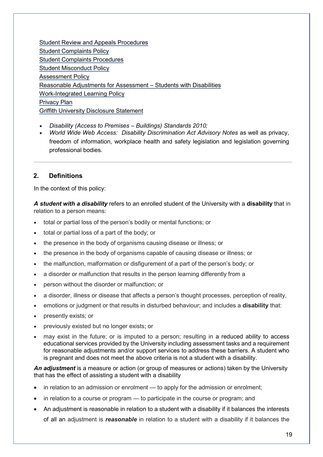[Student Review and Appeals Procedures](http://policies.griffith.edu.au/pdf/Student%20Review%20and%20Appeals%20Procedures.pdf) [Student Complaints Policy](http://policies.griffith.edu.au/pdf/Student%20Complaints%20Policy.pdf) [Student Complaints Procedures](http://policies.griffith.edu.au/pdf/Student%20Complaints%20Procedures.pdf) [Student Misconduct Policy](http://policies.griffith.edu.au/pdf/Student%20Misconduct%20Policy.pdf) [Assessment Policy](http://policies.griffith.edu.au/pdf/Assessment%20Policy.pdf) [Reasonable Adjustments for Assessment –](http://policies.griffith.edu.au/pdf/Assessment%20Reasonable%20Adjustments.pdf) [Students with Disabilities](http://policies.griffith.edu.au/pdf/Assessment%20Reasonable%20Adjustments.pdf) [Work-Integrated Learning Policy](http://policies.griffith.edu.au/pdf/Work%20Integrated%20Learning%20at%20Griffith.pdf) [Privacy Plan](http://www.griffith.edu.au/about-griffith/plans-publications/griffith-university-privacy-plan) [Griffith University Disclosure Statement](http://policies.griffith.edu.au/pdf/Griffith%20University%20Disclosure%20Statement.pdf)

- *Disability (Access to Premises – Buildings) Standards 2010;*
- *World Wide Web Access: Disability Discrimination Act Advisory Notes* as well as privacy, freedom of information, workplace health and safety legislation and legislation governing professional bodies.

# **2. Definitions**

In the context of this policy:

*A student with a disability* refers to an enrolled student of the University with a **disability** that in relation to a person means:

- total or partial loss of the person's bodily or mental functions; or
- total or partial loss of a part of the body; or
- the presence in the body of organisms causing disease or illness; or
- the presence in the body of organisms capable of causing disease or illness; or
- the malfunction, malformation or disfigurement of a part of the person's body; or
- a disorder or malfunction that results in the person learning differently from a
- person without the disorder or malfunction; or
- a disorder, illness or disease that affects a person's thought processes, perception of reality,
- emotions or judgment or that results in disturbed behaviour; and includes a **disability** that:
- presently exists; or
- previously existed but no longer exists; or
- may exist in the future; or is imputed to a person; resulting in a reduced ability to access educational services provided by the University including assessment tasks and a requirement for reasonable adjustments and/or support services to address these barriers. A student who is pregnant and does not meet the above criteria is not a student with a disability.

An adjustment is a measure or action (or group of measures or actions) taken by the University that has the effect of assisting a student with a disability

- in relation to an admission or enrolment to apply for the admission or enrolment;
- in relation to a course or program to participate in the course or program; and
- An adjustment is reasonable in relation to a student with a disability if it balances the interests of all an adjustment is *reasonable* in relation to a student with a disability if it balances the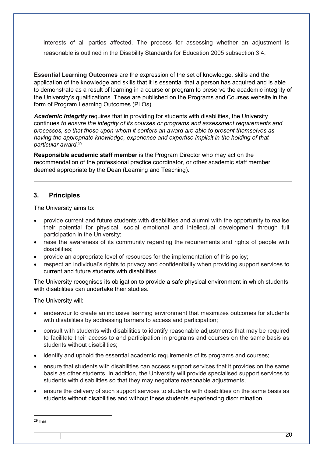interests of all parties affected. The process for assessing whether an adjustment is reasonable is outlined in the Disability Standards for Education 2005 subsection 3.4.

**Essential Learning Outcomes** are the expression of the set of knowledge, skills and the application of the knowledge and skills that it is essential that a person has acquired and is able to demonstrate as a result of learning in a course or program to preserve the academic integrity of the University's qualifications. These are published on the Programs and Courses website in the form of Program Learning Outcomes (PLOs).

*Academic Integrity* requires that in providing for students with disabilities, the University continues *to ensure the integrity of its courses or programs and assessment requirements and processes, so that those upon whom it confers an award are able to present themselves as having the appropriate knowledge, experience and expertise implicit in the holding of that particular award*. [29](#page-19-0)

**Responsible academic staff member** is the Program Director who may act on the recommendation of the professional practice coordinator, or other academic staff member deemed appropriate by the Dean (Learning and Teaching).

# **3. Principles**

The University aims to:

- provide current and future students with disabilities and alumni with the opportunity to realise their potential for physical, social emotional and intellectual development through full participation in the University;
- raise the awareness of its community regarding the requirements and rights of people with disabilities;
- provide an appropriate level of resources for the implementation of this policy;
- respect an individual's rights to privacy and confidentiality when providing support services to current and future students with disabilities.

The University recognises its obligation to provide a safe physical environment in which students with disabilities can undertake their studies

The University will:

- endeavour to create an inclusive learning environment that maximizes outcomes for students with disabilities by addressing barriers to access and participation;
- consult with students with disabilities to identify reasonable adjustments that may be required to facilitate their access to and participation in programs and courses on the same basis as students without disabilities;
- identify and uphold the essential academic requirements of its programs and courses;
- ensure that students with disabilities can access support services that it provides on the same basis as other students. In addition, the University will provide specialised support services to students with disabilities so that they may negotiate reasonable adjustments;
- ensure the delivery of such support services to students with disabilities on the same basis as students without disabilities and without these students experiencing discrimination.

 $\overline{\phantom{a}}$ 

<span id="page-19-0"></span><sup>29</sup> Ibid.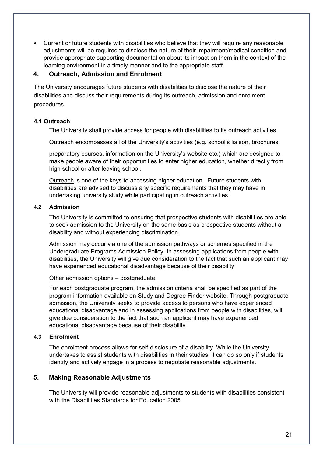• Current or future students with disabilities who believe that they will require any reasonable adjustments will be required to disclose the nature of their impairment/medical condition and provide appropriate supporting documentation about its impact on them in the context of the learning environment in a timely manner and to the appropriate staff.

### **4. Outreach, Admission and Enrolment**

The University encourages future students with disabilities to disclose the nature of their disabilities and discuss their requirements during its outreach, admission and enrolment procedures.

#### **4.1 Outreach**

The University shall provide access for people with disabilities to its outreach activities.

Outreach encompasses all of the University's activities (e.g. school's liaison, brochures,

preparatory courses, information on the University's website etc.) which are designed to make people aware of their opportunities to enter higher education, whether directly from high school or after leaving school.

Outreach is one of the keys to accessing higher education. Future students with disabilities are advised to discuss any specific requirements that they may have in undertaking university study while participating in outreach activities.

#### **4.2 Admission**

The University is committed to ensuring that prospective students with disabilities are able to seek admission to the University on the same basis as prospective students without a disability and without experiencing discrimination.

Admission may occur via one of the admission pathways or schemes specified in the Undergraduate Programs Admission Policy. In assessing applications from people with disabilities, the University will give due consideration to the fact that such an applicant may have experienced educational disadvantage because of their disability.

#### Other admission options – postgraduate

For each postgraduate program, the admission criteria shall be specified as part of the program information available on Study and Degree Finder website. Through postgraduate admission, the University seeks to provide access to persons who have experienced educational disadvantage and in assessing applications from people with disabilities, will give due consideration to the fact that such an applicant may have experienced educational disadvantage because of their disability.

# **4.3 Enrolment**

The enrolment process allows for self-disclosure of a disability. While the University undertakes to assist students with disabilities in their studies, it can do so only if students identify and actively engage in a process to negotiate reasonable adjustments.

# **5. Making Reasonable Adjustments**

The University will provide reasonable adjustments to students with disabilities consistent with the Disabilities Standards for Education 2005.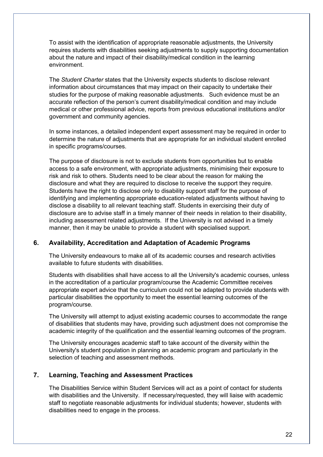To assist with the identification of appropriate reasonable adjustments, the University requires students with disabilities seeking adjustments to supply supporting documentation about the nature and impact of their disability/medical condition in the learning environment.

The *Student Charter* states that the University expects students to disclose relevant information about circumstances that may impact on their capacity to undertake their studies for the purpose of making reasonable adjustments. Such evidence must be an accurate reflection of the person's current disability/medical condition and may include medical or other professional advice, reports from previous educational institutions and/or government and community agencies.

In some instances, a detailed independent expert assessment may be required in order to determine the nature of adjustments that are appropriate for an individual student enrolled in specific programs/courses.

The purpose of disclosure is not to exclude students from opportunities but to enable access to a safe environment, with appropriate adjustments, minimising their exposure to risk and risk to others. Students need to be clear about the reason for making the disclosure and what they are required to disclose to receive the support they require. Students have the right to disclose only to disability support staff for the purpose of identifying and implementing appropriate education-related adjustments without having to disclose a disability to all relevant teaching staff. Students in exercising their duty of disclosure are to advise staff in a timely manner of their needs in relation to their disability, including assessment related adjustments. If the University is not advised in a timely manner, then it may be unable to provide a student with specialised support.

# **6. Availability, Accreditation and Adaptation of Academic Programs**

The University endeavours to make all of its academic courses and research activities available to future students with disabilities.

Students with disabilities shall have access to all the University's academic courses, unless in the accreditation of a particular program/course the Academic Committee receives appropriate expert advice that the curriculum could not be adapted to provide students with particular disabilities the opportunity to meet the essential learning outcomes of the program/course.

The University will attempt to adjust existing academic courses to accommodate the range of disabilities that students may have, providing such adjustment does not compromise the academic integrity of the qualification and the essential learning outcomes of the program.

The University encourages academic staff to take account of the diversity within the University's student population in planning an academic program and particularly in the selection of teaching and assessment methods.

# **7. Learning, Teaching and Assessment Practices**

The Disabilities Service within Student Services will act as a point of contact for students with disabilities and the University. If necessary/requested, they will liaise with academic staff to negotiate reasonable adjustments for individual students; however, students with disabilities need to engage in the process.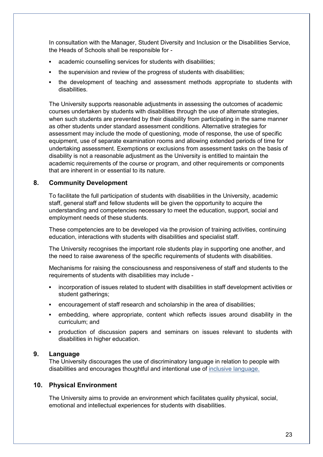In consultation with the Manager, Student Diversity and Inclusion or the Disabilities Service, the Heads of Schools shall be responsible for -

- academic counselling services for students with disabilities;
- the supervision and review of the progress of students with disabilities;
- the development of teaching and assessment methods appropriate to students with disabilities.

The University supports reasonable adjustments in assessing the outcomes of academic courses undertaken by students with disabilities through the use of alternate strategies, when such students are prevented by their disability from participating in the same manner as other students under standard assessment conditions. Alternative strategies for assessment may include the mode of questioning, mode of response, the use of specific equipment, use of separate examination rooms and allowing extended periods of time for undertaking assessment. Exemptions or exclusions from assessment tasks on the basis of disability is not a reasonable adjustment as the University is entitled to maintain the academic requirements of the course or program, and other requirements or components that are inherent in or essential to its nature.

#### **8. Community Development**

To facilitate the full participation of students with disabilities in the University, academic staff, general staff and fellow students will be given the opportunity to acquire the understanding and competencies necessary to meet the education, support, social and employment needs of these students.

These competencies are to be developed via the provision of training activities, continuing education, interactions with students with disabilities and specialist staff.

The University recognises the important role students play in supporting one another, and the need to raise awareness of the specific requirements of students with disabilities.

Mechanisms for raising the consciousness and responsiveness of staff and students to the requirements of students with disabilities may include -

- incorporation of issues related to student with disabilities in staff development activities or student gatherings;
- encouragement of staff research and scholarship in the area of disabilities;
- embedding, where appropriate, content which reflects issues around disability in the curriculum; and
- production of discussion papers and seminars on issues relevant to students with disabilities in higher education.

#### **9. Language**

The University discourages the use of discriminatory language in relation to people with disabilities and encourages thoughtful and intentional use of [inclusive language.](https://www.griffith.edu.au/__data/assets/pdf_file/0023/305771/152_17_Words-Matter-A5_FA_WEB.pdf)

#### **10. Physical Environment**

The University aims to provide an environment which facilitates quality physical, social, emotional and intellectual experiences for students with disabilities.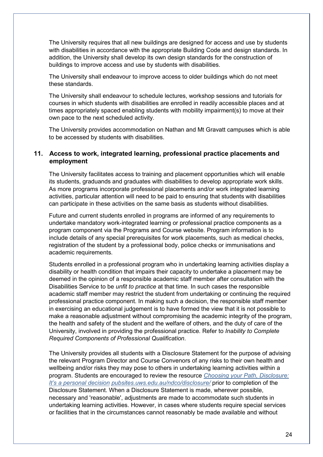The University requires that all new buildings are designed for access and use by students with disabilities in accordance with the appropriate Building Code and design standards. In addition, the University shall develop its own design standards for the construction of buildings to improve access and use by students with disabilities.

The University shall endeavour to improve access to older buildings which do not meet these standards.

The University shall endeavour to schedule lectures, workshop sessions and tutorials for courses in which students with disabilities are enrolled in readily accessible places and at times appropriately spaced enabling students with mobility impairment(s) to move at their own pace to the next scheduled activity.

The University provides accommodation on Nathan and Mt Gravatt campuses which is able to be accessed by students with disabilities.

# **11. Access to work, integrated learning, professional practice placements and employment**

The University facilitates access to training and placement opportunities which will enable its students, graduands and graduates with disabilities to develop appropriate work skills. As more programs incorporate professional placements and/or work integrated learning activities, particular attention will need to be paid to ensuring that students with disabilities can participate in these activities on the same basis as students without disabilities.

Future and current students enrolled in programs are informed of any requirements to undertake mandatory work-integrated learning or professional practice components as a program component via the Programs and Course website. Program information is to include details of any special prerequisites for work placements, such as medical checks, registration of the student by a professional body, police checks or immunisations and academic requirements.

Students enrolled in a professional program who in undertaking learning activities display a disability or health condition that impairs their capacity to undertake a placement may be deemed in the opinion of a responsible academic staff member after consultation with the Disabilities Service to be *unfit to practice* at that time*.* In such cases the responsible academic staff member may restrict the student from undertaking or continuing the required professional practice component. In making such a decision, the responsible staff member in exercising an educational judgement is to have formed the view that it is not possible to make a reasonable adjustment without compromising the academic integrity of the program, the health and safety of the student and the welfare of others, and the duty of care of the University, involved in providing the professional practice. Refer to *Inability to Complete Required Components of Professional Qualification*.

The University provides all students with a Disclosure Statement for the purpose of advising the relevant Program Director and Course Convenors of any risks to their own health and wellbeing and/or risks they may pose to others in undertaking learning activities within a program. Students are encouraged to review the resource *[Choosing your Path, Disclosure:](http://pubsites.uws.edu.au/ndco/disclosure/)  [It's a personal](http://pubsites.uws.edu.au/ndco/disclosure/) decision [pubsites.uws.edu.au/ndco/disclosure/](http://pubsites.uws.edu.au/ndco/disclosure/)* prior to completion of the Disclosure Statement. When a Disclosure Statement is made, wherever possible, necessary and 'reasonable', adjustments are made to accommodate such students in undertaking learning activities. However, in cases where students require special services or facilities that in the circumstances cannot reasonably be made available and without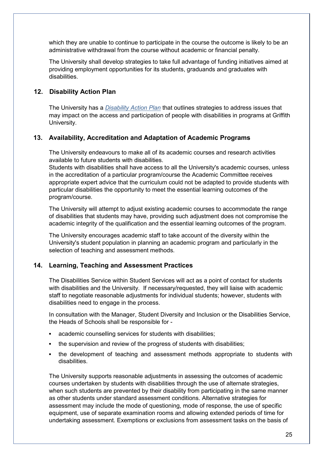which they are unable to continue to participate in the course the outcome is likely to be an administrative withdrawal from the course without academic or financial penalty.

The University shall develop strategies to take full advantage of funding initiatives aimed at providing employment opportunities for its students, graduands and graduates with disabilities.

#### **12. Disability Action Plan**

The University has a *[Disability Action Plan](https://www.griffith.edu.au/__data/assets/pdf_file/0032/169880/disability-action-plan.pdf)* [t](https://www.griffith.edu.au/__data/assets/pdf_file/0032/169880/disability-action-plan.pdf)hat outlines strategies to address issues that may impact on the access and participation of people with disabilities in programs at Griffith University.

#### **13. Availability, Accreditation and Adaptation of Academic Programs**

The University endeavours to make all of its academic courses and research activities available to future students with disabilities.

Students with disabilities shall have access to all the University's academic courses, unless in the accreditation of a particular program/course the Academic Committee receives appropriate expert advice that the curriculum could not be adapted to provide students with particular disabilities the opportunity to meet the essential learning outcomes of the program/course.

The University will attempt to adjust existing academic courses to accommodate the range of disabilities that students may have, providing such adjustment does not compromise the academic integrity of the qualification and the essential learning outcomes of the program.

The University encourages academic staff to take account of the diversity within the University's student population in planning an academic program and particularly in the selection of teaching and assessment methods.

#### **14. Learning, Teaching and Assessment Practices**

The Disabilities Service within Student Services will act as a point of contact for students with disabilities and the University. If necessary/requested, they will liaise with academic staff to negotiate reasonable adjustments for individual students; however, students with disabilities need to engage in the process.

In consultation with the Manager, Student Diversity and Inclusion or the Disabilities Service, the Heads of Schools shall be responsible for -

- academic counselling services for students with disabilities;
- the supervision and review of the progress of students with disabilities;
- the development of teaching and assessment methods appropriate to students with disabilities.

The University supports reasonable adjustments in assessing the outcomes of academic courses undertaken by students with disabilities through the use of alternate strategies, when such students are prevented by their disability from participating in the same manner as other students under standard assessment conditions. Alternative strategies for assessment may include the mode of questioning, mode of response, the use of specific equipment, use of separate examination rooms and allowing extended periods of time for undertaking assessment. Exemptions or exclusions from assessment tasks on the basis of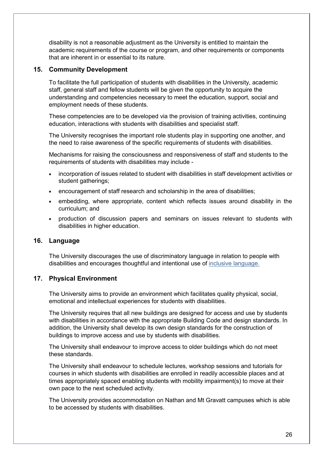disability is not a reasonable adjustment as the University is entitled to maintain the academic requirements of the course or program, and other requirements or components that are inherent in or essential to its nature.

#### **15. Community Development**

To facilitate the full participation of students with disabilities in the University, academic staff, general staff and fellow students will be given the opportunity to acquire the understanding and competencies necessary to meet the education, support, social and employment needs of these students.

These competencies are to be developed via the provision of training activities, continuing education, interactions with students with disabilities and specialist staff.

The University recognises the important role students play in supporting one another, and the need to raise awareness of the specific requirements of students with disabilities.

Mechanisms for raising the consciousness and responsiveness of staff and students to the requirements of students with disabilities may include -

- incorporation of issues related to student with disabilities in staff development activities or student gatherings;
- encouragement of staff research and scholarship in the area of disabilities;
- embedding, where appropriate, content which reflects issues around disability in the curriculum; and
- production of discussion papers and seminars on issues relevant to students with disabilities in higher education.

#### **16. Language**

The University discourages the use of discriminatory language in relation to people with disabilities and encourages thoughtful and intentional use of [inclusive language.](https://www.griffith.edu.au/__data/assets/pdf_file/0023/305771/152_17_Words-Matter-A5_FA_WEB.pdf)

# **17. Physical Environment**

The University aims to provide an environment which facilitates quality physical, social, emotional and intellectual experiences for students with disabilities.

The University requires that all new buildings are designed for access and use by students with disabilities in accordance with the appropriate Building Code and design standards. In addition, the University shall develop its own design standards for the construction of buildings to improve access and use by students with disabilities.

The University shall endeavour to improve access to older buildings which do not meet these standards.

The University shall endeavour to schedule lectures, workshop sessions and tutorials for courses in which students with disabilities are enrolled in readily accessible places and at times appropriately spaced enabling students with mobility impairment(s) to move at their own pace to the next scheduled activity.

The University provides accommodation on Nathan and Mt Gravatt campuses which is able to be accessed by students with disabilities.